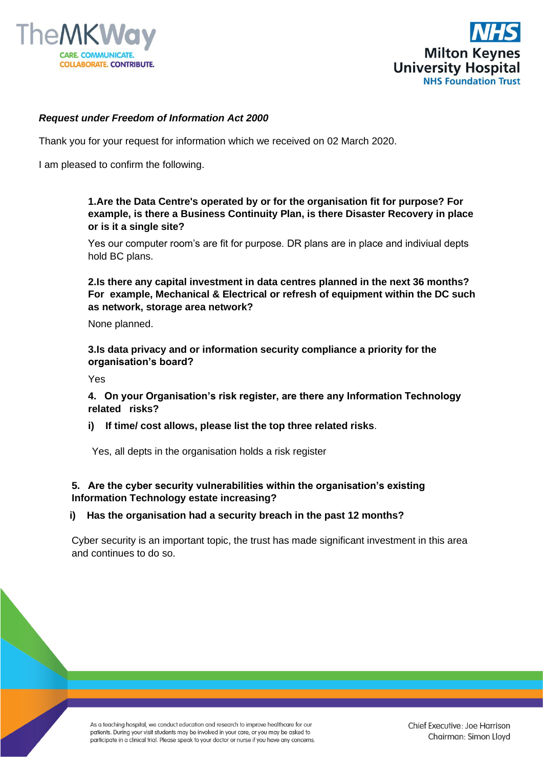



#### *Request under Freedom of Information Act 2000*

Thank you for your request for information which we received on 02 March 2020.

I am pleased to confirm the following.

#### **1.Are the Data Centre's operated by or for the organisation fit for purpose? For example, is there a Business Continuity Plan, is there Disaster Recovery in place or is it a single site?**

Yes our computer room's are fit for purpose. DR plans are in place and indiviual depts hold BC plans.

**2.Is there any capital investment in data centres planned in the next 36 months? For example, Mechanical & Electrical or refresh of equipment within the DC such as network, storage area network?**

None planned.

**3.Is data privacy and or information security compliance a priority for the organisation's board?**

Yes

**4. On your Organisation's risk register, are there any Information Technology related risks?**

**i) If time/ cost allows, please list the top three related risks**.

Yes, all depts in the organisation holds a risk register

## **5. Are the cyber security vulnerabilities within the organisation's existing Information Technology estate increasing?**

#### **i) Has the organisation had a security breach in the past 12 months?**

Cyber security is an important topic, the trust has made significant investment in this area and continues to do so.

As a teaching hospital, we conduct education and research to improve healthcare for our patients. During your visit students may be involved in your care, or you may be asked to participate in a clinical trial. Please speak to your doctor or nurse if you have any concerns. Chief Executive: Joe Harrison Chairman: Simon Lloyd